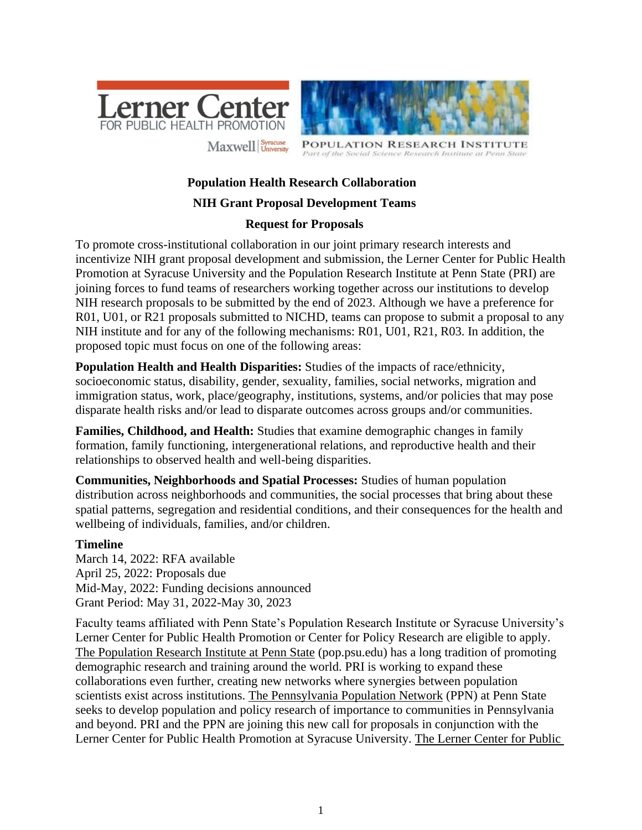



**PULATION RESEARCH INSTITU** Part of the Social Science Research Institute at Penn State

# **Population Health Research Collaboration**

### **NIH Grant Proposal Development Teams**

### **Request for Proposals**

To promote cross-institutional collaboration in our joint primary research interests and incentivize NIH grant proposal development and submission, the Lerner Center for Public Health Promotion at Syracuse University and the Population Research Institute at Penn State (PRI) are joining forces to fund teams of researchers working together across our institutions to develop NIH research proposals to be submitted by the end of 2023. Although we have a preference for R01, U01, or R21 proposals submitted to NICHD, teams can propose to submit a proposal to any NIH institute and for any of the following mechanisms: R01, U01, R21, R03. In addition, the proposed topic must focus on one of the following areas:

**Population Health and Health Disparities:** Studies of the impacts of race/ethnicity, socioeconomic status, disability, gender, sexuality, families, social networks, migration and immigration status, work, place/geography, institutions, systems, and/or policies that may pose disparate health risks and/or lead to disparate outcomes across groups and/or communities.

**Families, Childhood, and Health:** Studies that examine demographic changes in family formation, family functioning, intergenerational relations, and reproductive health and their relationships to observed health and well-being disparities.

**Communities, Neighborhoods and Spatial Processes:** Studies of human population distribution across neighborhoods and communities, the social processes that bring about these spatial patterns, segregation and residential conditions, and their consequences for the health and wellbeing of individuals, families, and/or children.

### **Timeline**

March 14, 2022: RFA available April 25, 2022: Proposals due Mid-May, 2022: Funding decisions announced Grant Period: May 31, 2022-May 30, 2023

Faculty teams affiliated with Penn State's Population Research Institute or Syracuse University's Lerner Center for Public Health Promotion or Center for Policy Research are eligible to apply. The Population Research Institute at Penn State (pop.psu.edu) has a long tradition of promoting demographic research and training around the world. PRI is working to expand these collaborations even further, creating new networks where synergies between population scientists exist across institutions. The Pennsylvania Population Network (PPN) at Penn State seeks to develop population and policy research of importance to communities in Pennsylvania and beyond. PRI and the PPN are joining this new call for proposals in conjunction with the Lerner Center for Public Health Promotion at Syracuse University. The Lerner Center for Public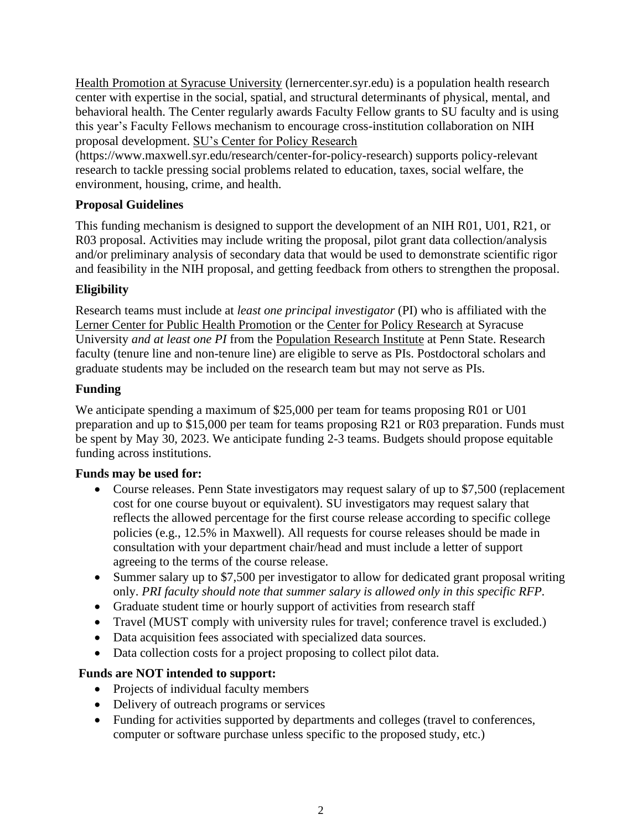Health Promotion at Syracuse University (lernercenter.syr.edu) is a population health research center with expertise in the social, spatial, and structural determinants of physical, mental, and behavioral health. The Center regularly awards Faculty Fellow grants to SU faculty and is using this year's Faculty Fellows mechanism to encourage cross-institution collaboration on NIH proposal development. SU's Center for Policy Research

(https://www.maxwell.syr.edu/research/center-for-policy-research) supports policy-relevant research to tackle pressing social problems related to education, taxes, social welfare, the environment, housing, crime, and health.

## **Proposal Guidelines**

This funding mechanism is designed to support the development of an NIH R01, U01, R21, or R03 proposal. Activities may include writing the proposal, pilot grant data collection/analysis and/or preliminary analysis of secondary data that would be used to demonstrate scientific rigor and feasibility in the NIH proposal, and getting feedback from others to strengthen the proposal.

### **Eligibility**

Research teams must include at *least one principal investigator* (PI) who is affiliated with the Lerner Center for Public Health Promotion or the Center for Policy Research at Syracuse University *and at least one PI* from the Population Research Institute at Penn State. Research faculty (tenure line and non-tenure line) are eligible to serve as PIs. Postdoctoral scholars and graduate students may be included on the research team but may not serve as PIs.

### **Funding**

We anticipate spending a maximum of \$25,000 per team for teams proposing R01 or U01 preparation and up to \$15,000 per team for teams proposing R21 or R03 preparation. Funds must be spent by May 30, 2023. We anticipate funding 2-3 teams. Budgets should propose equitable funding across institutions.

### **Funds may be used for:**

- Course releases. Penn State investigators may request salary of up to \$7,500 (replacement cost for one course buyout or equivalent). SU investigators may request salary that reflects the allowed percentage for the first course release according to specific college policies (e.g., 12.5% in Maxwell). All requests for course releases should be made in consultation with your department chair/head and must include a letter of support agreeing to the terms of the course release.
- Summer salary up to \$7,500 per investigator to allow for dedicated grant proposal writing only. *PRI faculty should note that summer salary is allowed only in this specific RFP.*
- Graduate student time or hourly support of activities from research staff
- Travel (MUST comply with university rules for travel; conference travel is excluded.)
- Data acquisition fees associated with specialized data sources.
- Data collection costs for a project proposing to collect pilot data.

### **Funds are NOT intended to support:**

- Projects of individual faculty members
- Delivery of outreach programs or services
- Funding for activities supported by departments and colleges (travel to conferences, computer or software purchase unless specific to the proposed study, etc.)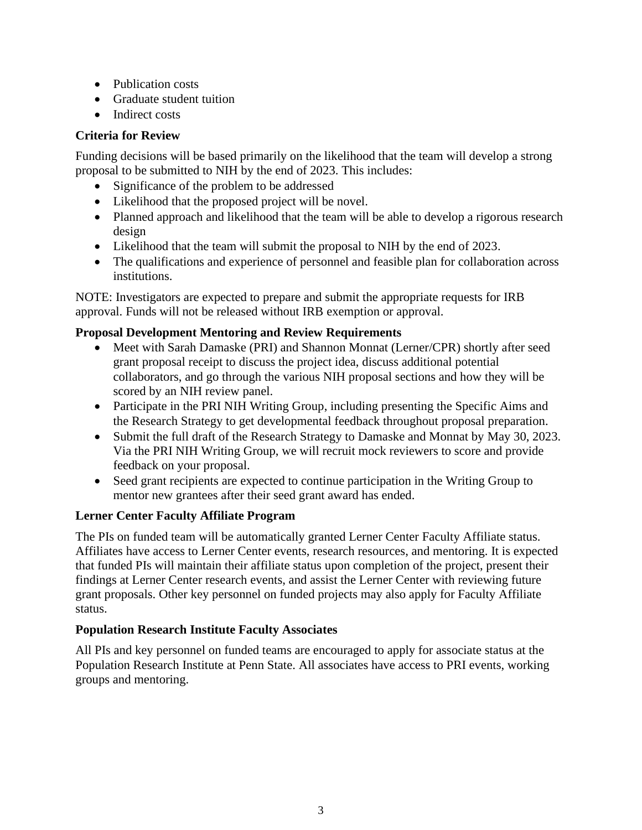- Publication costs
- Graduate student tuition
- Indirect costs

## **Criteria for Review**

Funding decisions will be based primarily on the likelihood that the team will develop a strong proposal to be submitted to NIH by the end of 2023. This includes:

- Significance of the problem to be addressed
- Likelihood that the proposed project will be novel.
- Planned approach and likelihood that the team will be able to develop a rigorous research design
- Likelihood that the team will submit the proposal to NIH by the end of 2023.
- The qualifications and experience of personnel and feasible plan for collaboration across institutions.

NOTE: Investigators are expected to prepare and submit the appropriate requests for IRB approval. Funds will not be released without IRB exemption or approval.

### **Proposal Development Mentoring and Review Requirements**

- Meet with Sarah Damaske (PRI) and Shannon Monnat (Lerner/CPR) shortly after seed grant proposal receipt to discuss the project idea, discuss additional potential collaborators, and go through the various NIH proposal sections and how they will be scored by an NIH review panel.
- Participate in the PRI NIH Writing Group, including presenting the Specific Aims and the Research Strategy to get developmental feedback throughout proposal preparation.
- Submit the full draft of the Research Strategy to Damaske and Monnat by May 30, 2023. Via the PRI NIH Writing Group, we will recruit mock reviewers to score and provide feedback on your proposal.
- Seed grant recipients are expected to continue participation in the Writing Group to mentor new grantees after their seed grant award has ended.

### **Lerner Center Faculty Affiliate Program**

The PIs on funded team will be automatically granted Lerner Center Faculty Affiliate status. Affiliates have access to Lerner Center events, research resources, and mentoring. It is expected that funded PIs will maintain their affiliate status upon completion of the project, present their findings at Lerner Center research events, and assist the Lerner Center with reviewing future grant proposals. Other key personnel on funded projects may also apply for Faculty Affiliate status.

### **Population Research Institute Faculty Associates**

All PIs and key personnel on funded teams are encouraged to apply for associate status at the Population Research Institute at Penn State. All associates have access to PRI events, working groups and mentoring.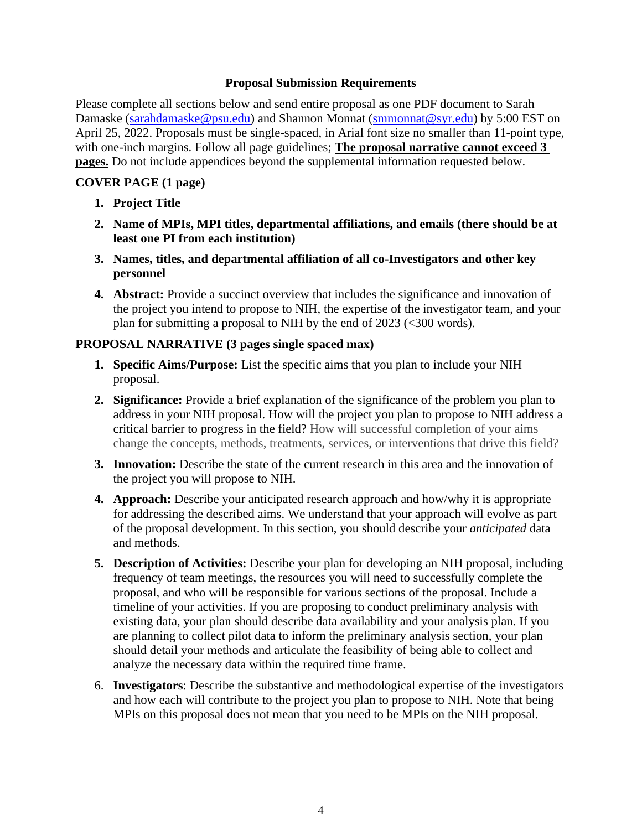#### **Proposal Submission Requirements**

Please complete all sections below and send entire proposal as one PDF document to Sarah Damaske [\(sarahdamaske@psu.edu\)](mailto:sarahdamaske@psu.edu) and Shannon Monnat [\(smmonnat@syr.edu\)](mailto:smmonnat@syr.edu) by 5:00 EST on April 25, 2022. Proposals must be single-spaced, in Arial font size no smaller than 11-point type, with one-inch margins. Follow all page guidelines; **The proposal narrative cannot exceed 3 pages.** Do not include appendices beyond the supplemental information requested below.

### **COVER PAGE (1 page)**

- **1. Project Title**
- **2. Name of MPIs, MPI titles, departmental affiliations, and emails (there should be at least one PI from each institution)**
- **3. Names, titles, and departmental affiliation of all co-Investigators and other key personnel**
- **4. Abstract:** Provide a succinct overview that includes the significance and innovation of the project you intend to propose to NIH, the expertise of the investigator team, and your plan for submitting a proposal to NIH by the end of 2023 (<300 words).

### **PROPOSAL NARRATIVE (3 pages single spaced max)**

- **1. Specific Aims/Purpose:** List the specific aims that you plan to include your NIH proposal.
- **2. Significance:** Provide a brief explanation of the significance of the problem you plan to address in your NIH proposal. How will the project you plan to propose to NIH address a critical barrier to progress in the field? How will successful completion of your aims change the concepts, methods, treatments, services, or interventions that drive this field?
- **3. Innovation:** Describe the state of the current research in this area and the innovation of the project you will propose to NIH.
- **4. Approach:** Describe your anticipated research approach and how/why it is appropriate for addressing the described aims. We understand that your approach will evolve as part of the proposal development. In this section, you should describe your *anticipated* data and methods.
- **5. Description of Activities:** Describe your plan for developing an NIH proposal, including frequency of team meetings, the resources you will need to successfully complete the proposal, and who will be responsible for various sections of the proposal. Include a timeline of your activities. If you are proposing to conduct preliminary analysis with existing data, your plan should describe data availability and your analysis plan. If you are planning to collect pilot data to inform the preliminary analysis section, your plan should detail your methods and articulate the feasibility of being able to collect and analyze the necessary data within the required time frame.
- 6. **Investigators**: Describe the substantive and methodological expertise of the investigators and how each will contribute to the project you plan to propose to NIH. Note that being MPIs on this proposal does not mean that you need to be MPIs on the NIH proposal.